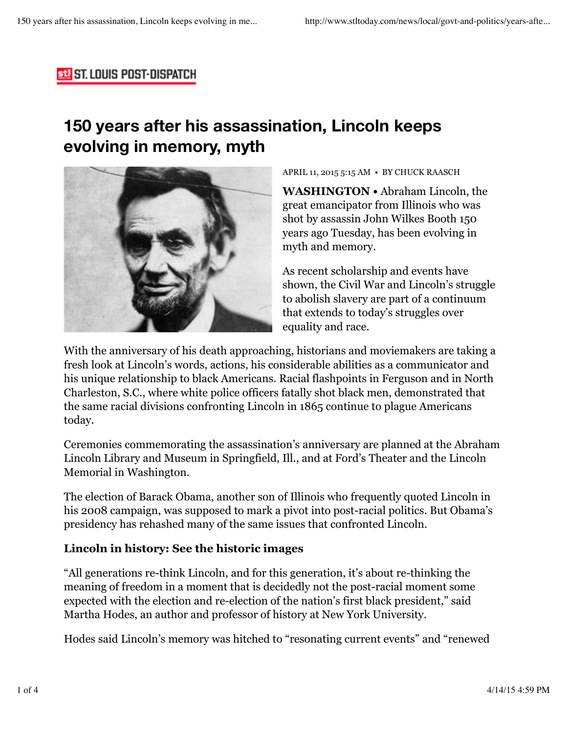### **St. ST. LOUIS POST-DISPATCH**

# **150 years after his assassination, Lincoln keeps evolving in memory, myth**



#### APRIL 11, 2015 5:15 AM • BY CHUCK RAASCH

**WASHINGTON •** Abraham Lincoln, the great emancipator from Illinois who was shot by assassin John Wilkes Booth 150 years ago Tuesday, has been evolving in myth and memory.

As recent scholarship and events have shown, the Civil War and Lincoln's struggle to abolish slavery are part of a continuum that extends to today's struggles over equality and race.

With the anniversary of his death approaching, historians and moviemakers are taking a fresh look at Lincoln's words, actions, his considerable abilities as a communicator and his unique relationship to black Americans. Racial flashpoints in Ferguson and in North Charleston, S.C., where white police officers fatally shot black men, demonstrated that the same racial divisions confronting Lincoln in 1865 continue to plague Americans today.

Ceremonies commemorating the assassination's anniversary are planned at the Abraham Lincoln Library and Museum in Springfield, Ill., and at Ford's Theater and the Lincoln Memorial in Washington.

The election of Barack Obama, another son of Illinois who frequently quoted Lincoln in his 2008 campaign, was supposed to mark a pivot into post-racial politics. But Obama's presidency has rehashed many of the same issues that confronted Lincoln.

#### **Lincoln in history: See the historic images**

"All generations re-think Lincoln, and for this generation, it's about re-thinking the meaning of freedom in a moment that is decidedly not the post-racial moment some expected with the election and re-election of the nation's first black president," said Martha Hodes, an author and professor of history at New York University.

Hodes said Lincoln's memory was hitched to "resonating current events" and "renewed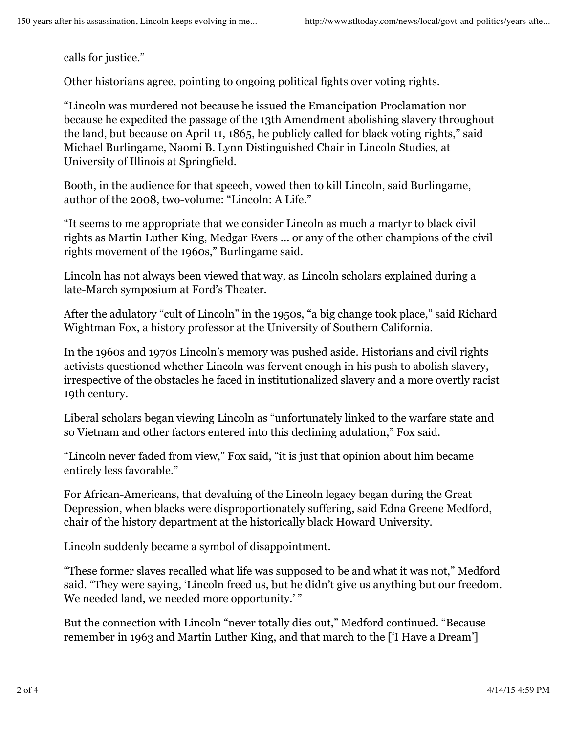calls for justice."

Other historians agree, pointing to ongoing political fights over voting rights.

"Lincoln was murdered not because he issued the Emancipation Proclamation nor because he expedited the passage of the 13th Amendment abolishing slavery throughout the land, but because on April 11, 1865, he publicly called for black voting rights," said Michael Burlingame, Naomi B. Lynn Distinguished Chair in Lincoln Studies, at University of Illinois at Springfield.

Booth, in the audience for that speech, vowed then to kill Lincoln, said Burlingame, author of the 2008, two-volume: "Lincoln: A Life."

"It seems to me appropriate that we consider Lincoln as much a martyr to black civil rights as Martin Luther King, Medgar Evers ... or any of the other champions of the civil rights movement of the 1960s," Burlingame said.

Lincoln has not always been viewed that way, as Lincoln scholars explained during a late-March symposium at Ford's Theater.

After the adulatory "cult of Lincoln" in the 1950s, "a big change took place," said Richard Wightman Fox, a history professor at the University of Southern California.

In the 1960s and 1970s Lincoln's memory was pushed aside. Historians and civil rights activists questioned whether Lincoln was fervent enough in his push to abolish slavery, irrespective of the obstacles he faced in institutionalized slavery and a more overtly racist 19th century.

Liberal scholars began viewing Lincoln as "unfortunately linked to the warfare state and so Vietnam and other factors entered into this declining adulation," Fox said.

"Lincoln never faded from view," Fox said, "it is just that opinion about him became entirely less favorable."

For African-Americans, that devaluing of the Lincoln legacy began during the Great Depression, when blacks were disproportionately suffering, said Edna Greene Medford, chair of the history department at the historically black Howard University.

Lincoln suddenly became a symbol of disappointment.

"These former slaves recalled what life was supposed to be and what it was not," Medford said. "They were saying, 'Lincoln freed us, but he didn't give us anything but our freedom. We needed land, we needed more opportunity.'"

But the connection with Lincoln "never totally dies out," Medford continued. "Because remember in 1963 and Martin Luther King, and that march to the ['I Have a Dream']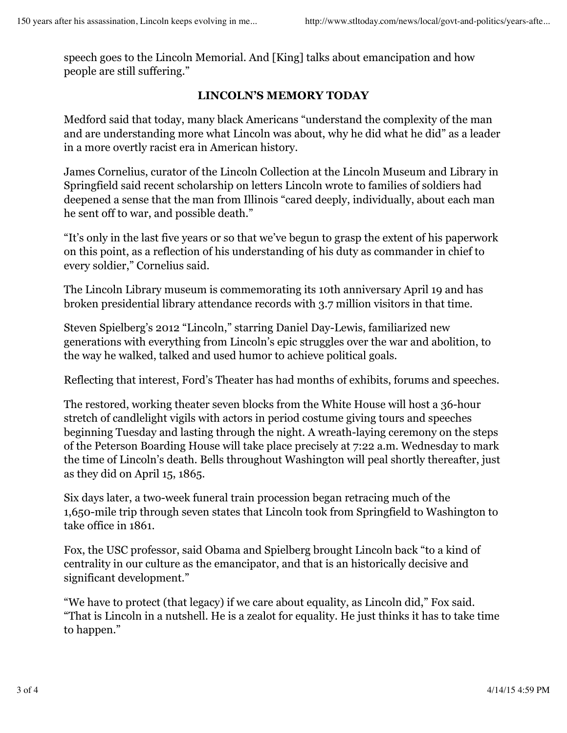speech goes to the Lincoln Memorial. And [King] talks about emancipation and how people are still suffering."

#### **LINCOLN'S MEMORY TODAY**

Medford said that today, many black Americans "understand the complexity of the man and are understanding more what Lincoln was about, why he did what he did" as a leader in a more overtly racist era in American history.

James Cornelius, curator of the Lincoln Collection at the Lincoln Museum and Library in Springfield said recent scholarship on letters Lincoln wrote to families of soldiers had deepened a sense that the man from Illinois "cared deeply, individually, about each man he sent off to war, and possible death."

"It's only in the last five years or so that we've begun to grasp the extent of his paperwork on this point, as a reflection of his understanding of his duty as commander in chief to every soldier," Cornelius said.

The Lincoln Library museum is commemorating its 10th anniversary April 19 and has broken presidential library attendance records with 3.7 million visitors in that time.

Steven Spielberg's 2012 "Lincoln," starring Daniel Day-Lewis, familiarized new generations with everything from Lincoln's epic struggles over the war and abolition, to the way he walked, talked and used humor to achieve political goals.

Reflecting that interest, Ford's Theater has had months of exhibits, forums and speeches.

The restored, working theater seven blocks from the White House will host a 36-hour stretch of candlelight vigils with actors in period costume giving tours and speeches beginning Tuesday and lasting through the night. A wreath-laying ceremony on the steps of the Peterson Boarding House will take place precisely at 7:22 a.m. Wednesday to mark the time of Lincoln's death. Bells throughout Washington will peal shortly thereafter, just as they did on April 15, 1865.

Six days later, a two-week funeral train procession began retracing much of the 1,650-mile trip through seven states that Lincoln took from Springfield to Washington to take office in 1861.

Fox, the USC professor, said Obama and Spielberg brought Lincoln back "to a kind of centrality in our culture as the emancipator, and that is an historically decisive and significant development."

"We have to protect (that legacy) if we care about equality, as Lincoln did," Fox said. "That is Lincoln in a nutshell. He is a zealot for equality. He just thinks it has to take time to happen."